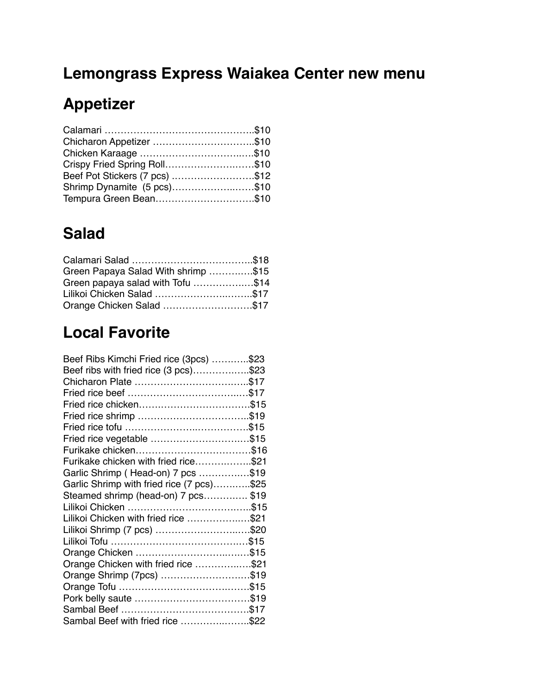## **Lemongrass Express Waiakea Center new menu**

# **Appetizer**

| Chicharon Appetizer \$10       |  |
|--------------------------------|--|
|                                |  |
| Crispy Fried Spring Roll\$10   |  |
| Beef Pot Stickers (7 pcs) \$12 |  |
| Shrimp Dynamite (5 pcs)\$10    |  |
| Tempura Green Bean\$10         |  |

## **Salad**

| Green Papaya Salad With shrimp \$15 |  |
|-------------------------------------|--|
| Green papaya salad with Tofu \$14   |  |
| Lilikoi Chicken Salad \$17          |  |
| Orange Chicken Salad \$17           |  |

# **Local Favorite**

| Beef Ribs Kimchi Fried rice (3pcs) \$23   |  |
|-------------------------------------------|--|
| Beef ribs with fried rice (3 pcs)\$23     |  |
|                                           |  |
|                                           |  |
|                                           |  |
|                                           |  |
|                                           |  |
| Fried rice vegetable \$15                 |  |
|                                           |  |
| Furikake chicken with fried rice\$21      |  |
| Garlic Shrimp (Head-on) 7 pcs \$19        |  |
| Garlic Shrimp with fried rice (7 pcs)\$25 |  |
| Steamed shrimp (head-on) 7 pcs\$19        |  |
|                                           |  |
| Lilikoi Chicken with fried rice \$21      |  |
| Lilikoi Shrimp (7 pcs) \$20               |  |
|                                           |  |
|                                           |  |
| Orange Chicken with fried rice \$21       |  |
| Orange Shrimp (7pcs) \$19                 |  |
|                                           |  |
|                                           |  |
|                                           |  |
| Sambal Beef with fried rice \$22          |  |